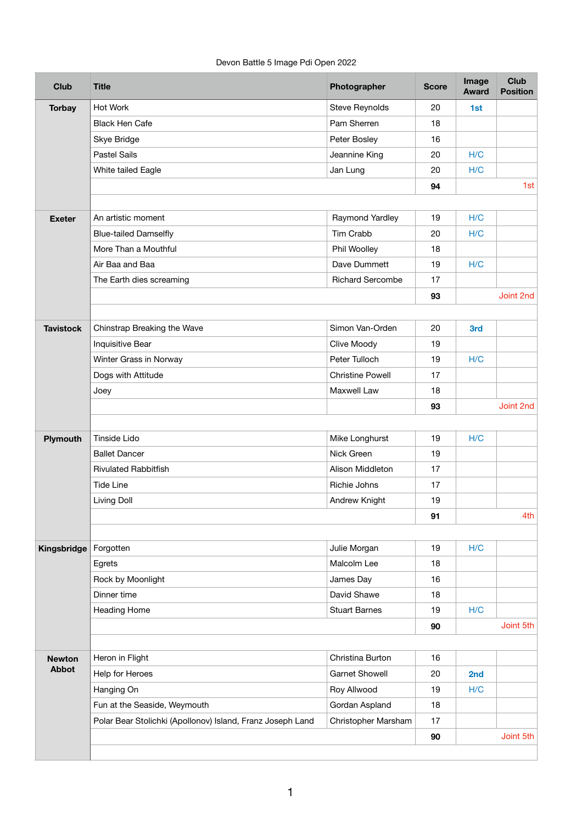Devon Battle 5 Image Pdi Open 2022

| <b>Club</b>                   | <b>Title</b>                                               | Photographer            | <b>Score</b> | Image<br><b>Award</b> | <b>Club</b><br><b>Position</b> |
|-------------------------------|------------------------------------------------------------|-------------------------|--------------|-----------------------|--------------------------------|
| <b>Torbay</b>                 | <b>Hot Work</b>                                            | <b>Steve Reynolds</b>   | 20           | 1st                   |                                |
|                               | <b>Black Hen Cafe</b>                                      | Pam Sherren             | 18           |                       |                                |
|                               | <b>Skye Bridge</b>                                         | Peter Bosley            | 16           |                       |                                |
|                               | <b>Pastel Sails</b>                                        | Jeannine King           | 20           | H/C                   |                                |
|                               | White tailed Eagle                                         | Jan Lung                | 20           | H/C                   |                                |
|                               |                                                            |                         | 94           |                       | 1st                            |
|                               |                                                            |                         |              |                       |                                |
| <b>Exeter</b>                 | An artistic moment                                         | Raymond Yardley         | 19           | H/C                   |                                |
|                               | <b>Blue-tailed Damselfly</b>                               | <b>Tim Crabb</b>        | 20           | H/C                   |                                |
|                               | More Than a Mouthful                                       | Phil Woolley            | 18           |                       |                                |
|                               | Air Baa and Baa                                            | Dave Dummett            | 19           | H/C                   |                                |
|                               | The Earth dies screaming                                   | <b>Richard Sercombe</b> | 17           |                       |                                |
|                               |                                                            |                         | 93           |                       | Joint 2nd                      |
|                               |                                                            |                         |              |                       |                                |
| <b>Tavistock</b>              | Chinstrap Breaking the Wave                                | Simon Van-Orden         | 20           | 3rd                   |                                |
|                               | <b>Inquisitive Bear</b>                                    | Clive Moody             | 19           |                       |                                |
|                               | Winter Grass in Norway                                     | Peter Tulloch           | 19           | H/C                   |                                |
|                               | Dogs with Attitude                                         | <b>Christine Powell</b> | 17           |                       |                                |
|                               | Joey                                                       | <b>Maxwell Law</b>      | 18           |                       |                                |
|                               |                                                            |                         | 93           |                       | Joint 2nd                      |
| <b>Plymouth</b>               | <b>Tinside Lido</b>                                        | Mike Longhurst          | 19           | H/C                   |                                |
|                               | <b>Ballet Dancer</b>                                       | Nick Green              | 19           |                       |                                |
|                               | <b>Rivulated Rabbitfish</b>                                | Alison Middleton        | 17           |                       |                                |
|                               | <b>Tide Line</b>                                           | Richie Johns            | 17           |                       |                                |
|                               | Living Doll                                                | <b>Andrew Knight</b>    | 19           |                       |                                |
|                               |                                                            |                         | 91           |                       | 4th                            |
|                               |                                                            |                         |              |                       |                                |
| Kingsbridge                   | Forgotten                                                  | Julie Morgan            | 19           | H/C                   |                                |
|                               | Egrets                                                     | Malcolm Lee             | 18           |                       |                                |
|                               | Rock by Moonlight                                          | James Day               | 16           |                       |                                |
|                               | Dinner time                                                | David Shawe             | 18           |                       |                                |
|                               | <b>Heading Home</b>                                        | <b>Stuart Barnes</b>    | 19           | H/C                   |                                |
|                               |                                                            |                         | 90           |                       | Joint 5th                      |
|                               |                                                            |                         |              |                       |                                |
| <b>Newton</b><br><b>Abbot</b> | Heron in Flight                                            | Christina Burton        | 16           |                       |                                |
|                               | Help for Heroes                                            | <b>Garnet Showell</b>   | 20           | 2nd                   |                                |
|                               | Hanging On                                                 | Roy Allwood             | 19           | H/C                   |                                |
|                               | Fun at the Seaside, Weymouth                               | Gordan Aspland          | 18           |                       |                                |
|                               | Polar Bear Stolichki (Apollonov) Island, Franz Joseph Land | Christopher Marsham     | 17           |                       |                                |
|                               |                                                            |                         | 90           |                       | Joint 5th                      |
|                               |                                                            |                         |              |                       |                                |

1